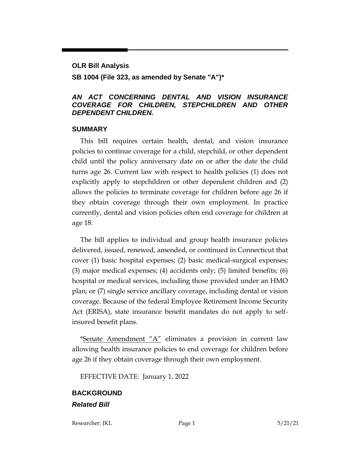# **OLR Bill Analysis SB 1004 (File 323, as amended by Senate "A")\***

#### *AN ACT CONCERNING DENTAL AND VISION INSURANCE COVERAGE FOR CHILDREN, STEPCHILDREN AND OTHER DEPENDENT CHILDREN.*

#### **SUMMARY**

This bill requires certain health, dental, and vision insurance policies to continue coverage for a child, stepchild, or other dependent child until the policy anniversary date on or after the date the child turns age 26. Current law with respect to health policies (1) does not explicitly apply to stepchildren or other dependent children and (2) allows the policies to terminate coverage for children before age 26 if they obtain coverage through their own employment. In practice currently, dental and vision policies often end coverage for children at age 18.

The bill applies to individual and group health insurance policies delivered, issued, renewed, amended, or continued in Connecticut that cover (1) basic hospital expenses; (2) basic medical-surgical expenses; (3) major medical expenses; (4) accidents only; (5) limited benefits; (6) hospital or medical services, including those provided under an HMO plan; or (7) single service ancillary coverage, including dental or vision coverage. Because of the federal Employee Retirement Income Security Act (ERISA), state insurance benefit mandates do not apply to selfinsured benefit plans.

\*Senate  $A$ mendment " $A$ " eliminates a provision in current law allowing health insurance policies to end coverage for children before age 26 if they obtain coverage through their own employment.

EFFECTIVE DATE: January 1, 2022

## **BACKGROUND** *Related Bill*

Researcher: JKL Page 1 5/21/21